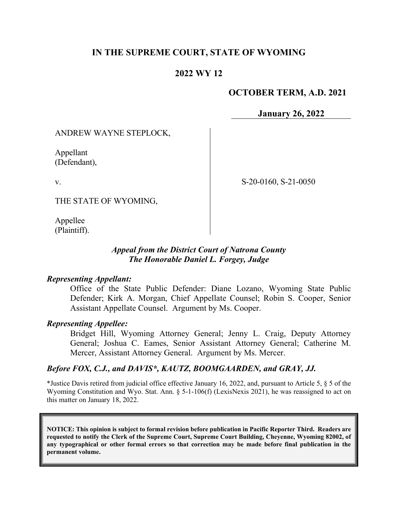## **IN THE SUPREME COURT, STATE OF WYOMING**

## **2022 WY 12**

## **OCTOBER TERM, A.D. 2021**

**January 26, 2022**

### ANDREW WAYNE STEPLOCK,

Appellant (Defendant),

v.

S-20-0160, S-21-0050

THE STATE OF WYOMING,

Appellee (Plaintiff).

### *Appeal from the District Court of Natrona County The Honorable Daniel L. Forgey, Judge*

#### *Representing Appellant:*

Office of the State Public Defender: Diane Lozano, Wyoming State Public Defender; Kirk A. Morgan, Chief Appellate Counsel; Robin S. Cooper, Senior Assistant Appellate Counsel. Argument by Ms. Cooper.

### *Representing Appellee:*

Bridget Hill, Wyoming Attorney General; Jenny L. Craig, Deputy Attorney General; Joshua C. Eames, Senior Assistant Attorney General; Catherine M. Mercer, Assistant Attorney General. Argument by Ms. Mercer.

### *Before FOX, C.J., and DAVIS\*, KAUTZ, BOOMGAARDEN, and GRAY, JJ.*

\*Justice Davis retired from judicial office effective January 16, 2022, and, pursuant to Article 5, § 5 of the Wyoming Constitution and Wyo. Stat. Ann. § 5-1-106(f) (LexisNexis 2021), he was reassigned to act on this matter on January 18, 2022.

**NOTICE: This opinion is subject to formal revision before publication in Pacific Reporter Third. Readers are requested to notify the Clerk of the Supreme Court, Supreme Court Building, Cheyenne, Wyoming 82002, of any typographical or other formal errors so that correction may be made before final publication in the permanent volume.**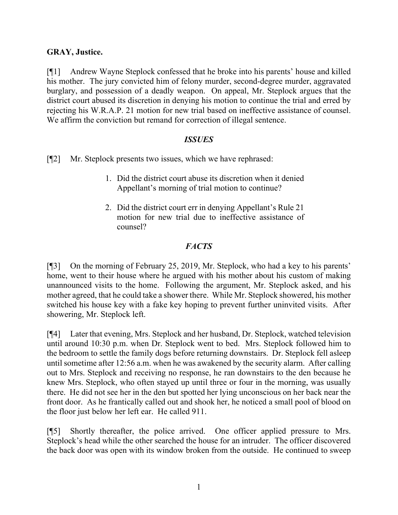## **GRAY, Justice.**

[¶1] Andrew Wayne Steplock confessed that he broke into his parents' house and killed his mother. The jury convicted him of felony murder, second-degree murder, aggravated burglary, and possession of a deadly weapon. On appeal, Mr. Steplock argues that the district court abused its discretion in denying his motion to continue the trial and erred by rejecting his W.R.A.P. 21 motion for new trial based on ineffective assistance of counsel. We affirm the conviction but remand for correction of illegal sentence.

### *ISSUES*

- [¶2] Mr. Steplock presents two issues, which we have rephrased:
	- 1. Did the district court abuse its discretion when it denied Appellant's morning of trial motion to continue?
	- 2. Did the district court err in denying Appellant's Rule 21 motion for new trial due to ineffective assistance of counsel?

## *FACTS*

[¶3] On the morning of February 25, 2019, Mr. Steplock, who had a key to his parents' home, went to their house where he argued with his mother about his custom of making unannounced visits to the home. Following the argument, Mr. Steplock asked, and his mother agreed, that he could take a shower there. While Mr. Steplock showered, his mother switched his house key with a fake key hoping to prevent further uninvited visits. After showering, Mr. Steplock left.

[¶4] Later that evening, Mrs. Steplock and her husband, Dr. Steplock, watched television until around 10:30 p.m. when Dr. Steplock went to bed. Mrs. Steplock followed him to the bedroom to settle the family dogs before returning downstairs. Dr. Steplock fell asleep until sometime after 12:56 a.m. when he was awakened by the security alarm. After calling out to Mrs. Steplock and receiving no response, he ran downstairs to the den because he knew Mrs. Steplock, who often stayed up until three or four in the morning, was usually there. He did not see her in the den but spotted her lying unconscious on her back near the front door. As he frantically called out and shook her, he noticed a small pool of blood on the floor just below her left ear. He called 911.

[¶5] Shortly thereafter, the police arrived. One officer applied pressure to Mrs. Steplock's head while the other searched the house for an intruder. The officer discovered the back door was open with its window broken from the outside. He continued to sweep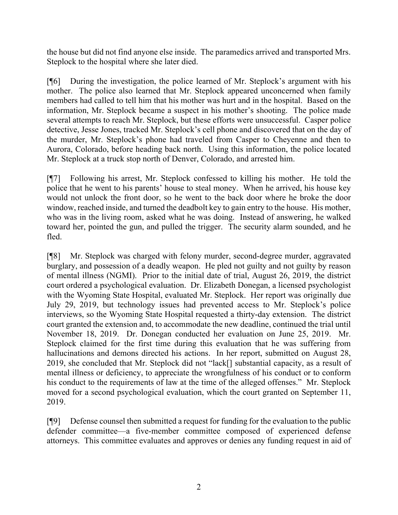the house but did not find anyone else inside. The paramedics arrived and transported Mrs. Steplock to the hospital where she later died.

[¶6] During the investigation, the police learned of Mr. Steplock's argument with his mother. The police also learned that Mr. Steplock appeared unconcerned when family members had called to tell him that his mother was hurt and in the hospital. Based on the information, Mr. Steplock became a suspect in his mother's shooting. The police made several attempts to reach Mr. Steplock, but these efforts were unsuccessful. Casper police detective, Jesse Jones, tracked Mr. Steplock's cell phone and discovered that on the day of the murder, Mr. Steplock's phone had traveled from Casper to Cheyenne and then to Aurora, Colorado, before heading back north. Using this information, the police located Mr. Steplock at a truck stop north of Denver, Colorado, and arrested him.

[¶7] Following his arrest, Mr. Steplock confessed to killing his mother. He told the police that he went to his parents' house to steal money. When he arrived, his house key would not unlock the front door, so he went to the back door where he broke the door window, reached inside, and turned the deadbolt key to gain entry to the house. His mother, who was in the living room, asked what he was doing. Instead of answering, he walked toward her, pointed the gun, and pulled the trigger. The security alarm sounded, and he fled.

[¶8] Mr. Steplock was charged with felony murder, second-degree murder, aggravated burglary, and possession of a deadly weapon. He pled not guilty and not guilty by reason of mental illness (NGMI). Prior to the initial date of trial, August 26, 2019, the district court ordered a psychological evaluation. Dr. Elizabeth Donegan, a licensed psychologist with the Wyoming State Hospital, evaluated Mr. Steplock. Her report was originally due July 29, 2019, but technology issues had prevented access to Mr. Steplock's police interviews, so the Wyoming State Hospital requested a thirty-day extension. The district court granted the extension and, to accommodate the new deadline, continued the trial until November 18, 2019. Dr. Donegan conducted her evaluation on June 25, 2019. Mr. Steplock claimed for the first time during this evaluation that he was suffering from hallucinations and demons directed his actions. In her report, submitted on August 28, 2019, she concluded that Mr. Steplock did not "lack[] substantial capacity, as a result of mental illness or deficiency, to appreciate the wrongfulness of his conduct or to conform his conduct to the requirements of law at the time of the alleged offenses." Mr. Steplock moved for a second psychological evaluation, which the court granted on September 11, 2019.

[¶9] Defense counsel then submitted a request for funding for the evaluation to the public defender committee—a five-member committee composed of experienced defense attorneys. This committee evaluates and approves or denies any funding request in aid of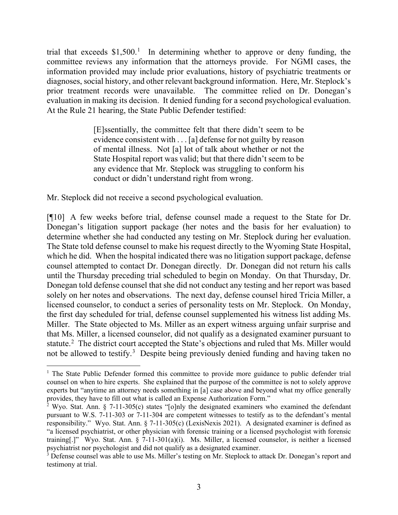trial that exceeds  $$1,500$  $$1,500$  $$1,500$ .<sup>1</sup> In determining whether to approve or deny funding, the committee reviews any information that the attorneys provide. For NGMI cases, the information provided may include prior evaluations, history of psychiatric treatments or diagnoses, social history, and other relevant background information. Here, Mr. Steplock's prior treatment records were unavailable. The committee relied on Dr. Donegan's evaluation in making its decision. It denied funding for a second psychological evaluation. At the Rule 21 hearing, the State Public Defender testified:

> [E]ssentially, the committee felt that there didn't seem to be evidence consistent with . . . [a] defense for not guilty by reason of mental illness. Not [a] lot of talk about whether or not the State Hospital report was valid; but that there didn't seem to be any evidence that Mr. Steplock was struggling to conform his conduct or didn't understand right from wrong.

Mr. Steplock did not receive a second psychological evaluation.

[¶10] A few weeks before trial, defense counsel made a request to the State for Dr. Donegan's litigation support package (her notes and the basis for her evaluation) to determine whether she had conducted any testing on Mr. Steplock during her evaluation. The State told defense counsel to make his request directly to the Wyoming State Hospital, which he did. When the hospital indicated there was no litigation support package, defense counsel attempted to contact Dr. Donegan directly. Dr. Donegan did not return his calls until the Thursday preceding trial scheduled to begin on Monday. On that Thursday, Dr. Donegan told defense counsel that she did not conduct any testing and her report was based solely on her notes and observations. The next day, defense counsel hired Tricia Miller, a licensed counselor, to conduct a series of personality tests on Mr. Steplock. On Monday, the first day scheduled for trial, defense counsel supplemented his witness list adding Ms. Miller. The State objected to Ms. Miller as an expert witness arguing unfair surprise and that Ms. Miller, a licensed counselor, did not qualify as a designated examiner pursuant to statute.<sup>[2](#page-3-1)</sup> The district court accepted the State's objections and ruled that Ms. Miller would not be allowed to testify.<sup>[3](#page-3-2)</sup> Despite being previously denied funding and having taken no

<span id="page-3-0"></span><sup>&</sup>lt;sup>1</sup> The State Public Defender formed this committee to provide more guidance to public defender trial counsel on when to hire experts. She explained that the purpose of the committee is not to solely approve experts but "anytime an attorney needs something in [a] case above and beyond what my office generally provides, they have to fill out what is called an Expense Authorization Form."

<span id="page-3-1"></span><sup>&</sup>lt;sup>2</sup> Wyo. Stat. Ann. § 7-11-305(c) states "[o]nly the designated examiners who examined the defendant pursuant to W.S. 7-11-303 or 7-11-304 are competent witnesses to testify as to the defendant's mental responsibility." Wyo. Stat. Ann. § 7-11-305(c) (LexisNexis 2021). A designated examiner is defined as "a licensed psychiatrist, or other physician with forensic training or a licensed psychologist with forensic training[.]" Wyo. Stat. Ann. § 7-11-301(a)(i). Ms. Miller, a licensed counselor, is neither a licensed psychiatrist nor psychologist and did not qualify as a designated examiner.

<span id="page-3-2"></span><sup>&</sup>lt;sup>3</sup> Defense counsel was able to use Ms. Miller's testing on Mr. Steplock to attack Dr. Donegan's report and testimony at trial.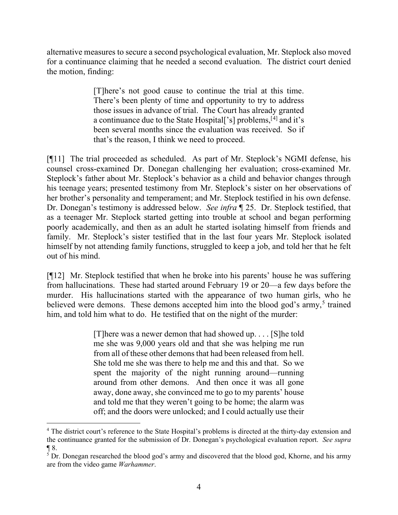alternative measures to secure a second psychological evaluation, Mr. Steplock also moved for a continuance claiming that he needed a second evaluation. The district court denied the motion, finding:

> [T]here's not good cause to continue the trial at this time. There's been plenty of time and opportunity to try to address those issues in advance of trial. The Court has already granted a continuance due to the State Hospital<sup>['s]</sup> problems,<sup>[[4](#page-4-0)]</sup> and it's been several months since the evaluation was received. So if that's the reason, I think we need to proceed.

[¶11] The trial proceeded as scheduled. As part of Mr. Steplock's NGMI defense, his counsel cross-examined Dr. Donegan challenging her evaluation; cross-examined Mr. Steplock's father about Mr. Steplock's behavior as a child and behavior changes through his teenage years; presented testimony from Mr. Steplock's sister on her observations of her brother's personality and temperament; and Mr. Steplock testified in his own defense. Dr. Donegan's testimony is addressed below. *See infra* ¶ 25. Dr. Steplock testified, that as a teenager Mr. Steplock started getting into trouble at school and began performing poorly academically, and then as an adult he started isolating himself from friends and family. Mr. Steplock's sister testified that in the last four years Mr. Steplock isolated himself by not attending family functions, struggled to keep a job, and told her that he felt out of his mind.

[¶12] Mr. Steplock testified that when he broke into his parents' house he was suffering from hallucinations. These had started around February 19 or 20—a few days before the murder. His hallucinations started with the appearance of two human girls, who he believed were demons. These demons accepted him into the blood god's army,<sup>[5](#page-4-1)</sup> trained him, and told him what to do. He testified that on the night of the murder:

> [T]here was a newer demon that had showed up. . . . [S]he told me she was 9,000 years old and that she was helping me run from all of these other demons that had been released from hell. She told me she was there to help me and this and that. So we spent the majority of the night running around—running around from other demons. And then once it was all gone away, done away, she convinced me to go to my parents' house and told me that they weren't going to be home; the alarm was off; and the doors were unlocked; and I could actually use their

<span id="page-4-0"></span><sup>&</sup>lt;sup>4</sup> The district court's reference to the State Hospital's problems is directed at the thirty-day extension and the continuance granted for the submission of Dr. Donegan's psychological evaluation report. *See supra*  $\P$  8.<br><sup>5</sup> Dr. Donegan researched the blood god's army and discovered that the blood god, Khorne, and his army

<span id="page-4-1"></span>are from the video game *Warhammer*.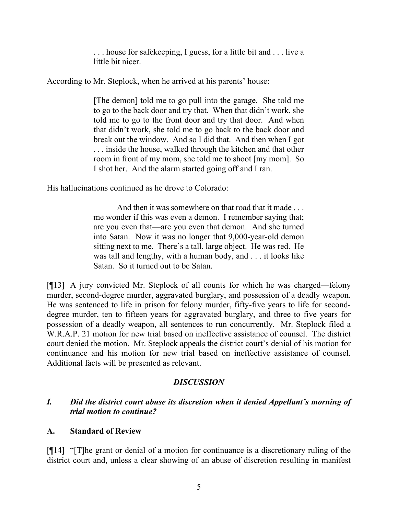. . . house for safekeeping, I guess, for a little bit and . . . live a little bit nicer.

According to Mr. Steplock, when he arrived at his parents' house:

[The demon] told me to go pull into the garage. She told me to go to the back door and try that. When that didn't work, she told me to go to the front door and try that door. And when that didn't work, she told me to go back to the back door and break out the window. And so I did that. And then when I got . . . inside the house, walked through the kitchen and that other room in front of my mom, she told me to shoot [my mom]. So I shot her. And the alarm started going off and I ran.

His hallucinations continued as he drove to Colorado:

And then it was somewhere on that road that it made . . . me wonder if this was even a demon. I remember saying that; are you even that—are you even that demon. And she turned into Satan. Now it was no longer that 9,000-year-old demon sitting next to me. There's a tall, large object. He was red. He was tall and lengthy, with a human body, and . . . it looks like Satan. So it turned out to be Satan.

[¶13] A jury convicted Mr. Steplock of all counts for which he was charged—felony murder, second-degree murder, aggravated burglary, and possession of a deadly weapon. He was sentenced to life in prison for felony murder, fifty-five years to life for seconddegree murder, ten to fifteen years for aggravated burglary, and three to five years for possession of a deadly weapon, all sentences to run concurrently. Mr. Steplock filed a W.R.A.P. 21 motion for new trial based on ineffective assistance of counsel. The district court denied the motion. Mr. Steplock appeals the district court's denial of his motion for continuance and his motion for new trial based on ineffective assistance of counsel. Additional facts will be presented as relevant.

## *DISCUSSION*

## *I. Did the district court abuse its discretion when it denied Appellant's morning of trial motion to continue?*

## **A. Standard of Review**

[¶14] "[T]he grant or denial of a motion for continuance is a discretionary ruling of the district court and, unless a clear showing of an abuse of discretion resulting in manifest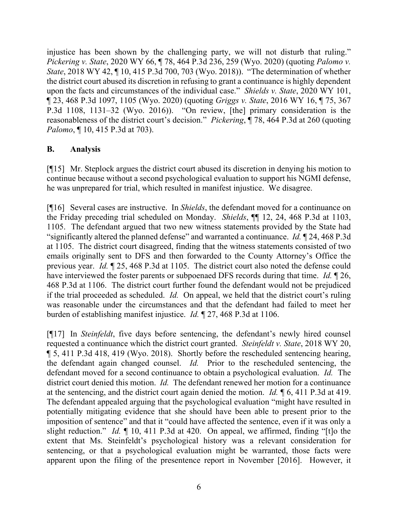injustice has been shown by the challenging party, we will not disturb that ruling." *Pickering v. State*, 2020 WY 66, ¶ 78, 464 P.3d 236, 259 (Wyo. 2020) (quoting *Palomo v. State*, 2018 WY 42, ¶ 10, 415 P.3d 700, 703 (Wyo. 2018)). "The determination of whether the district court abused its discretion in refusing to grant a continuance is highly dependent upon the facts and circumstances of the individual case." *Shields v. State*, 2020 WY 101, ¶ 23, 468 P.3d 1097, 1105 (Wyo. 2020) (quoting *Griggs v. State*, 2016 WY 16, ¶ 75, 367 P.3d 1108, 1131–32 (Wyo. 2016)). "On review, [the] primary consideration is the reasonableness of the district court's decision." *Pickering*, ¶ 78, 464 P.3d at 260 (quoting *Palomo*, ¶ 10, 415 P.3d at 703).

## **B. Analysis**

[¶15] Mr. Steplock argues the district court abused its discretion in denying his motion to continue because without a second psychological evaluation to support his NGMI defense, he was unprepared for trial, which resulted in manifest injustice. We disagree.

[¶16] Several cases are instructive. In *Shields*, the defendant moved for a continuance on the Friday preceding trial scheduled on Monday. *Shields*, ¶¶ 12, 24, 468 P.3d at 1103, 1105. The defendant argued that two new witness statements provided by the State had "significantly altered the planned defense" and warranted a continuance. *Id.* ¶ 24, 468 P.3d at 1105. The district court disagreed, finding that the witness statements consisted of two emails originally sent to DFS and then forwarded to the County Attorney's Office the previous year. *Id.* ¶ 25, 468 P.3d at 1105. The district court also noted the defense could have interviewed the foster parents or subpoenaed DFS records during that time. *Id.* ¶ 26, 468 P.3d at 1106. The district court further found the defendant would not be prejudiced if the trial proceeded as scheduled. *Id.* On appeal, we held that the district court's ruling was reasonable under the circumstances and that the defendant had failed to meet her burden of establishing manifest injustice. *Id.* ¶ 27, 468 P.3d at 1106.

[¶17] In *Steinfeldt*, five days before sentencing, the defendant's newly hired counsel requested a continuance which the district court granted. *Steinfeldt v. State*, 2018 WY 20, ¶ 5, 411 P.3d 418, 419 (Wyo. 2018). Shortly before the rescheduled sentencing hearing, the defendant again changed counsel. *Id.* Prior to the rescheduled sentencing, the defendant moved for a second continuance to obtain a psychological evaluation. *Id.* The district court denied this motion. *Id.* The defendant renewed her motion for a continuance at the sentencing, and the district court again denied the motion. *Id.* ¶ 6, 411 P.3d at 419. The defendant appealed arguing that the psychological evaluation "might have resulted in potentially mitigating evidence that she should have been able to present prior to the imposition of sentence" and that it "could have affected the sentence, even if it was only a slight reduction." *Id.* ¶ 10, 411 P.3d at 420. On appeal, we affirmed, finding "[t]o the extent that Ms. Steinfeldt's psychological history was a relevant consideration for sentencing, or that a psychological evaluation might be warranted, those facts were apparent upon the filing of the presentence report in November [2016]. However, it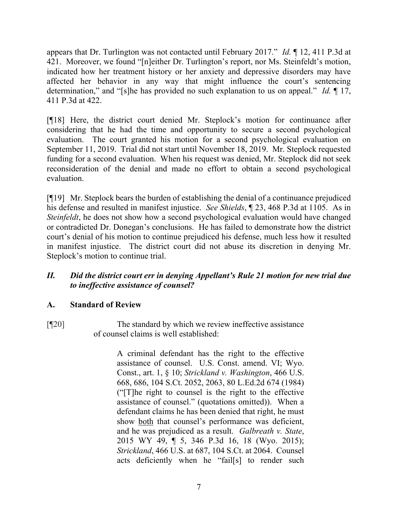appears that Dr. Turlington was not contacted until February 2017." *Id.* ¶ 12, 411 P.3d at 421. Moreover, we found "[n]either Dr. Turlington's report, nor Ms. Steinfeldt's motion, indicated how her treatment history or her anxiety and depressive disorders may have affected her behavior in any way that might influence the court's sentencing determination," and "[s]he has provided no such explanation to us on appeal." *Id.* ¶ 17, 411 P.3d at 422.

[¶18] Here, the district court denied Mr. Steplock's motion for continuance after considering that he had the time and opportunity to secure a second psychological evaluation. The court granted his motion for a second psychological evaluation on September 11, 2019. Trial did not start until November 18, 2019. Mr. Steplock requested funding for a second evaluation. When his request was denied, Mr. Steplock did not seek reconsideration of the denial and made no effort to obtain a second psychological evaluation.

[¶19] Mr. Steplock bears the burden of establishing the denial of a continuance prejudiced his defense and resulted in manifest injustice. *See Shields*, ¶ 23, 468 P.3d at 1105. As in *Steinfeldt*, he does not show how a second psychological evaluation would have changed or contradicted Dr. Donegan's conclusions. He has failed to demonstrate how the district court's denial of his motion to continue prejudiced his defense, much less how it resulted in manifest injustice. The district court did not abuse its discretion in denying Mr. Steplock's motion to continue trial.

## *II. Did the district court err in denying Appellant's Rule 21 motion for new trial due to ineffective assistance of counsel?*

## **A. Standard of Review**

[¶20] The standard by which we review ineffective assistance of counsel claims is well established:

> A criminal defendant has the right to the effective assistance of counsel. U.S. Const. amend. VI; Wyo. Const., art. 1, § 10; *Strickland v. Washington*, 466 U.S. 668, 686, 104 S.Ct. 2052, 2063, 80 L.Ed.2d 674 (1984) ("[T]he right to counsel is the right to the effective assistance of counsel." (quotations omitted)). When a defendant claims he has been denied that right, he must show both that counsel's performance was deficient, and he was prejudiced as a result. *Galbreath v. State*, 2015 WY 49, ¶ 5, 346 P.3d 16, 18 (Wyo. 2015); *Strickland*, 466 U.S. at 687, 104 S.Ct. at 2064. Counsel acts deficiently when he "fail[s] to render such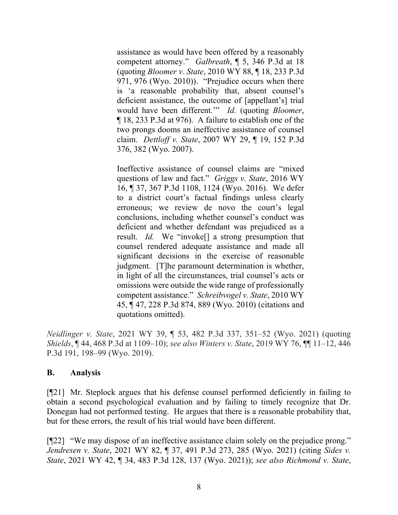assistance as would have been offered by a reasonably competent attorney." *Galbreath*, ¶ 5, 346 P.3d at 18 (quoting *Bloomer v. State*, 2010 WY 88, ¶ 18, 233 P.3d 971, 976 (Wyo. 2010)). "Prejudice occurs when there is 'a reasonable probability that, absent counsel's deficient assistance, the outcome of [appellant's] trial would have been different.'" *Id.* (quoting *Bloomer*, ¶ 18, 233 P.3d at 976). A failure to establish one of the two prongs dooms an ineffective assistance of counsel claim. *Dettloff v. State*, 2007 WY 29, ¶ 19, 152 P.3d 376, 382 (Wyo. 2007).

Ineffective assistance of counsel claims are "mixed questions of law and fact." *Griggs v. State*, 2016 WY 16, ¶ 37, 367 P.3d 1108, 1124 (Wyo. 2016). We defer to a district court's factual findings unless clearly erroneous; we review de novo the court's legal conclusions, including whether counsel's conduct was deficient and whether defendant was prejudiced as a result. *Id.* We "invoke[] a strong presumption that counsel rendered adequate assistance and made all significant decisions in the exercise of reasonable judgment. [T]he paramount determination is whether, in light of all the circumstances, trial counsel's acts or omissions were outside the wide range of professionally competent assistance." *Schreibvogel v. State*, 2010 WY 45, ¶ 47, 228 P.3d 874, 889 (Wyo. 2010) (citations and quotations omitted).

*Neidlinger v. State*, 2021 WY 39, ¶ 53, 482 P.3d 337, 351–52 (Wyo. 2021) (quoting *Shields*, ¶ 44, 468 P.3d at 1109–10); *see also Winters v. State*, 2019 WY 76, ¶¶ 11–12, 446 P.3d 191, 198–99 (Wyo. 2019).

### **B. Analysis**

[¶21] Mr. Steplock argues that his defense counsel performed deficiently in failing to obtain a second psychological evaluation and by failing to timely recognize that Dr. Donegan had not performed testing. He argues that there is a reasonable probability that, but for these errors, the result of his trial would have been different.

[¶22] "We may dispose of an ineffective assistance claim solely on the prejudice prong." *Jendresen v. State*, 2021 WY 82, ¶ 37, 491 P.3d 273, 285 (Wyo. 2021) (citing *Sides v. State*, 2021 WY 42, ¶ 34, 483 P.3d 128, 137 (Wyo. 2021)); *see also Richmond v. State*,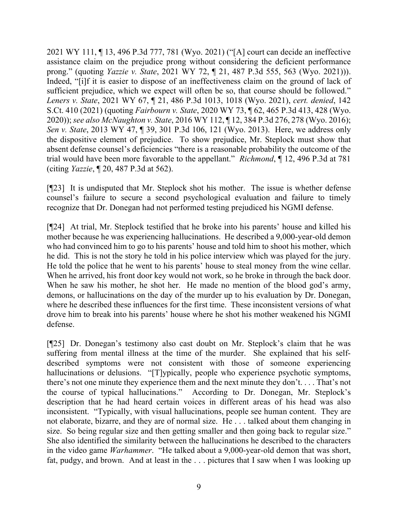2021 WY 111, ¶ 13, 496 P.3d 777, 781 (Wyo. 2021) ("[A] court can decide an ineffective assistance claim on the prejudice prong without considering the deficient performance prong." (quoting *Yazzie v. State*, 2021 WY 72, ¶ 21, 487 P.3d 555, 563 (Wyo. 2021))). Indeed, "[i]f it is easier to dispose of an ineffectiveness claim on the ground of lack of sufficient prejudice, which we expect will often be so, that course should be followed." *Leners v. State*, 2021 WY 67, ¶ 21, 486 P.3d 1013, 1018 (Wyo. 2021), *cert. denied*, 142 S.Ct. 410 (2021) (quoting *Fairbourn v. State*, 2020 WY 73, ¶ 62, 465 P.3d 413, 428 (Wyo. 2020)); *see also McNaughton v. State*, 2016 WY 112, ¶ 12, 384 P.3d 276, 278 (Wyo. 2016); *Sen v. State*, 2013 WY 47, ¶ 39, 301 P.3d 106, 121 (Wyo. 2013). Here, we address only the dispositive element of prejudice. To show prejudice, Mr. Steplock must show that absent defense counsel's deficiencies "there is a reasonable probability the outcome of the trial would have been more favorable to the appellant." *Richmond*, ¶ 12, 496 P.3d at 781 (citing *Yazzie*, ¶ 20, 487 P.3d at 562).

[¶23] It is undisputed that Mr. Steplock shot his mother. The issue is whether defense counsel's failure to secure a second psychological evaluation and failure to timely recognize that Dr. Donegan had not performed testing prejudiced his NGMI defense.

[¶24] At trial, Mr. Steplock testified that he broke into his parents' house and killed his mother because he was experiencing hallucinations. He described a 9,000-year-old demon who had convinced him to go to his parents' house and told him to shoot his mother, which he did. This is not the story he told in his police interview which was played for the jury. He told the police that he went to his parents' house to steal money from the wine cellar. When he arrived, his front door key would not work, so he broke in through the back door. When he saw his mother, he shot her. He made no mention of the blood god's army, demons, or hallucinations on the day of the murder up to his evaluation by Dr. Donegan, where he described these influences for the first time. These inconsistent versions of what drove him to break into his parents' house where he shot his mother weakened his NGMI defense.

[¶25] Dr. Donegan's testimony also cast doubt on Mr. Steplock's claim that he was suffering from mental illness at the time of the murder. She explained that his selfdescribed symptoms were not consistent with those of someone experiencing hallucinations or delusions. "[T]ypically, people who experience psychotic symptoms, there's not one minute they experience them and the next minute they don't. . . . That's not the course of typical hallucinations." According to Dr. Donegan, Mr. Steplock's description that he had heard certain voices in different areas of his head was also inconsistent. "Typically, with visual hallucinations, people see human content. They are not elaborate, bizarre, and they are of normal size. He . . . talked about them changing in size. So being regular size and then getting smaller and then going back to regular size." She also identified the similarity between the hallucinations he described to the characters in the video game *Warhammer*. "He talked about a 9,000-year-old demon that was short, fat, pudgy, and brown. And at least in the . . . pictures that I saw when I was looking up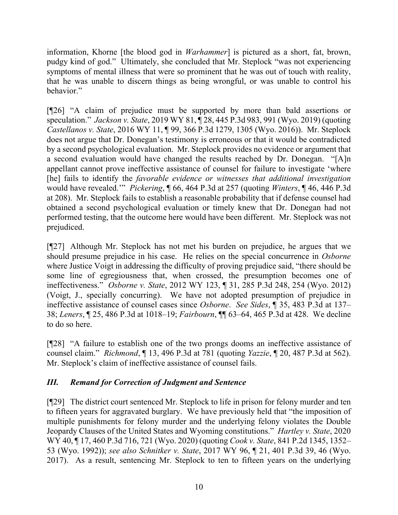information, Khorne [the blood god in *Warhammer*] is pictured as a short, fat, brown, pudgy kind of god." Ultimately, she concluded that Mr. Steplock "was not experiencing symptoms of mental illness that were so prominent that he was out of touch with reality, that he was unable to discern things as being wrongful, or was unable to control his behavior."

[¶26] "A claim of prejudice must be supported by more than bald assertions or speculation." *Jackson v. State*, 2019 WY 81, ¶ 28, 445 P.3d 983, 991 (Wyo. 2019) (quoting *Castellanos v. State*, 2016 WY 11, ¶ 99, 366 P.3d 1279, 1305 (Wyo. 2016)). Mr. Steplock does not argue that Dr. Donegan's testimony is erroneous or that it would be contradicted by a second psychological evaluation. Mr. Steplock provides no evidence or argument that a second evaluation would have changed the results reached by Dr. Donegan. "[A]n appellant cannot prove ineffective assistance of counsel for failure to investigate 'where [he] fails to identify the *favorable evidence or witnesses that additional investigation* would have revealed.'" *Pickering*, ¶ 66, 464 P.3d at 257 (quoting *Winters*, ¶ 46, 446 P.3d at 208). Mr. Steplock fails to establish a reasonable probability that if defense counsel had obtained a second psychological evaluation or timely knew that Dr. Donegan had not performed testing, that the outcome here would have been different. Mr. Steplock was not prejudiced.

[¶27] Although Mr. Steplock has not met his burden on prejudice, he argues that we should presume prejudice in his case. He relies on the special concurrence in *Osborne*  where Justice Voigt in addressing the difficulty of proving prejudice said, "there should be some line of egregiousness that, when crossed, the presumption becomes one of ineffectiveness." *Osborne v. State*, 2012 WY 123, ¶ 31, 285 P.3d 248, 254 (Wyo. 2012) (Voigt, J., specially concurring). We have not adopted presumption of prejudice in ineffective assistance of counsel cases since *Osborne*. *See Sides*, ¶ 35, 483 P.3d at 137– 38; *Leners*, ¶ 25, 486 P.3d at 1018–19; *Fairbourn*, ¶¶ 63–64, 465 P.3d at 428. We decline to do so here.

[¶28] "A failure to establish one of the two prongs dooms an ineffective assistance of counsel claim." *Richmond*, ¶ 13, 496 P.3d at 781 (quoting *Yazzie*, ¶ 20, 487 P.3d at 562). Mr. Steplock's claim of ineffective assistance of counsel fails.

# *III. Remand for Correction of Judgment and Sentence*

[¶29] The district court sentenced Mr. Steplock to life in prison for felony murder and ten to fifteen years for aggravated burglary. We have previously held that "the imposition of multiple punishments for felony murder and the underlying felony violates the Double Jeopardy Clauses of the United States and Wyoming constitutions." *Hartley v. State*, 2020 WY 40, ¶ 17, 460 P.3d 716, 721 (Wyo. 2020) (quoting *Cook v. State*, 841 P.2d 1345, 1352– 53 (Wyo. 1992)); *see also Schnitker v. State*, 2017 WY 96, ¶ 21, 401 P.3d 39, 46 (Wyo. 2017). As a result, sentencing Mr. Steplock to ten to fifteen years on the underlying